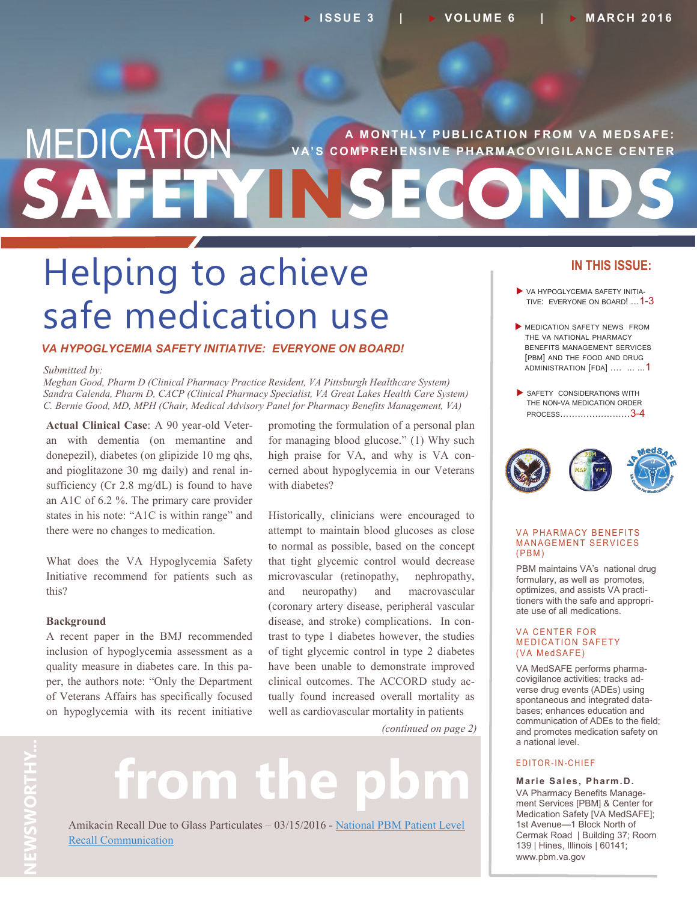## **SAFETYINSECONDS MEDICATION** VA'S COMPREHENSIVE PHARMACOVIGILANCE CENTER **V A' S C O M P R E H E N S I V E P H AR M AC O V I G I L AN C E C E N T E R**

# Helping to achieve safe medication use

#### *VA HYPOGLYCEMIA SAFETY INITIATIVE: EVERYONE ON BOARD!*

#### *Submitted by:*

*Meghan Good, Pharm D (Clinical Pharmacy Practice Resident, VA Pittsburgh Healthcare System) Sandra Calenda, Pharm D, CACP (Clinical Pharmacy Specialist, VA Great Lakes Health Care System) C. Bernie Good, MD, MPH (Chair, Medical Advisory Panel for Pharmacy Benefits Management, VA)*

**Actual Clinical Case**: A 90 year-old Veteran with dementia (on memantine and donepezil), diabetes (on glipizide 10 mg qhs, and pioglitazone 30 mg daily) and renal insufficiency (Cr 2.8 mg/dL) is found to have an A1C of 6.2 %. The primary care provider states in his note: "A1C is within range" and there were no changes to medication.

What does the VA Hypoglycemia Safety Initiative recommend for patients such as this?

#### **Background**

A recent paper in the BMJ recommended inclusion of hypoglycemia assessment as a quality measure in diabetes care. In this paper, the authors note: "Only the Department of Veterans Affairs has specifically focused on hypoglycemia with its recent initiative promoting the formulation of a personal plan for managing blood glucose." (1) Why such high praise for VA, and why is VA concerned about hypoglycemia in our Veterans with diabetes?

Historically, clinicians were encouraged to attempt to maintain blood glucoses as close to normal as possible, based on the concept that tight glycemic control would decrease microvascular (retinopathy, nephropathy, and neuropathy) and macrovascular (coronary artery disease, peripheral vascular disease, and stroke) complications. In contrast to type 1 diabetes however, the studies of tight glycemic control in type 2 diabetes have been unable to demonstrate improved clinical outcomes. The ACCORD study actually found increased overall mortality as well as cardiovascular mortality in patients

*(continued on page 2)*

# from the

Amikacin Recall Due to Glass Particulates – 03/15/2016 - [National PBM Patient Level](http://www.pbm.va.gov/PBM/vacenterformedicationsafety/nationalpbmcommunication/Amikacin_Recall_Due_to_Glass_Particulates_National_PBM_Patient_Level_Rec.pdf)  [Recall Communication](http://www.pbm.va.gov/PBM/vacenterformedicationsafety/nationalpbmcommunication/Amikacin_Recall_Due_to_Glass_Particulates_National_PBM_Patient_Level_Rec.pdf)

#### **IN THIS ISSUE:**

- VA HYPOGLYCEMIA SAFETY INITIA-TIVE: EVERYONE ON BOARD! …1-3
- MEDICATION SAFETY NEWS FROM THE VA NATIONAL PHARMACY BENEFITS MANAGEMENT SERVICES [PBM] AND THE FOOD AND DRUG ADMINISTRATION [FDA] .... ... ...1
- SAFETY CONSIDERATIONS WITH THE NON-VA MEDICATION ORDER PROCESS……………………3-4



#### **VA PHARMACY BENEFITS MANAGEMENT SERVICES**  $(PBM)$

PBM maintains VA's national drug formulary, as well as promotes, optimizes, and assists VA practitioners with the safe and appropriate use of all medications.

#### **VA CENTER FOR MEDICATION SAFETY** (VA MedSAFE)

VA MedSAFE performs pharmacovigilance activities; tracks adverse drug events (ADEs) using spontaneous and integrated databases; enhances education and communication of ADEs to the field; and promotes medication safety on a national level.

#### E DITOR-IN-CHIEF

**Marie Sales, Pharm.D.** VA Pharmacy Benefits Management Services [PBM] & Center for Medication Safety [VA MedSAFE]; 1st Avenue—1 Block North of Cermak Road | Building 37; Room 139 | Hines, Illinois | 60141; www.pbm.va.gov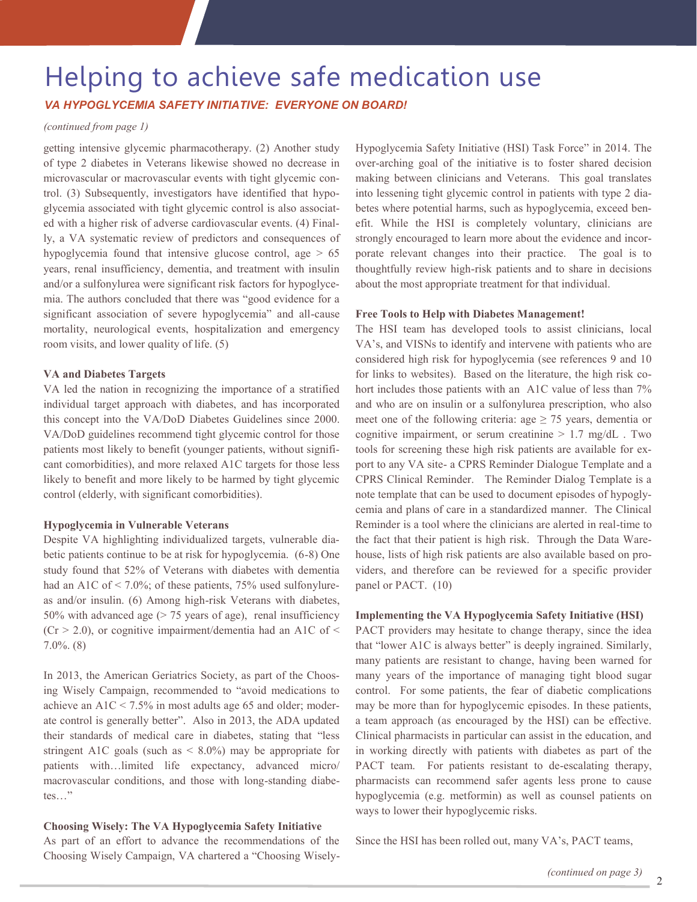## Helping to achieve safe medication use

*VA HYPOGLYCEMIA SAFETY INITIATIVE: EVERYONE ON BOARD!*

#### *(continued from page 1)*

getting intensive glycemic pharmacotherapy. (2) Another study of type 2 diabetes in Veterans likewise showed no decrease in microvascular or macrovascular events with tight glycemic control. (3) Subsequently, investigators have identified that hypoglycemia associated with tight glycemic control is also associated with a higher risk of adverse cardiovascular events. (4) Finally, a VA systematic review of predictors and consequences of hypoglycemia found that intensive glucose control, age  $> 65$ years, renal insufficiency, dementia, and treatment with insulin and/or a sulfonylurea were significant risk factors for hypoglycemia. The authors concluded that there was "good evidence for a significant association of severe hypoglycemia" and all-cause mortality, neurological events, hospitalization and emergency room visits, and lower quality of life. (5)

#### **VA and Diabetes Targets**

VA led the nation in recognizing the importance of a stratified individual target approach with diabetes, and has incorporated this concept into the VA/DoD Diabetes Guidelines since 2000. VA/DoD guidelines recommend tight glycemic control for those patients most likely to benefit (younger patients, without significant comorbidities), and more relaxed A1C targets for those less likely to benefit and more likely to be harmed by tight glycemic control (elderly, with significant comorbidities).

#### **Hypoglycemia in Vulnerable Veterans**

Despite VA highlighting individualized targets, vulnerable diabetic patients continue to be at risk for hypoglycemia. (6-8) One study found that 52% of Veterans with diabetes with dementia had an A1C of  $\leq$  7.0%; of these patients, 75% used sulfonylureas and/or insulin. (6) Among high-risk Veterans with diabetes, 50% with advanced age  $($  > 75 years of age), renal insufficiency  $(Cr > 2.0)$ , or cognitive impairment/dementia had an A1C of < 7.0%. (8)

In 2013, the American Geriatrics Society, as part of the Choosing Wisely Campaign, recommended to "avoid medications to achieve an A1C < 7.5% in most adults age 65 and older; moderate control is generally better". Also in 2013, the ADA updated their standards of medical care in diabetes, stating that "less stringent A1C goals (such as  $\leq 8.0\%$ ) may be appropriate for patients with…limited life expectancy, advanced micro/ macrovascular conditions, and those with long-standing diabetes…"

#### **Choosing Wisely: The VA Hypoglycemia Safety Initiative**

As part of an effort to advance the recommendations of the Choosing Wisely Campaign, VA chartered a "Choosing WiselyHypoglycemia Safety Initiative (HSI) Task Force" in 2014. The over-arching goal of the initiative is to foster shared decision making between clinicians and Veterans. This goal translates into lessening tight glycemic control in patients with type 2 diabetes where potential harms, such as hypoglycemia, exceed benefit. While the HSI is completely voluntary, clinicians are strongly encouraged to learn more about the evidence and incorporate relevant changes into their practice. The goal is to thoughtfully review high-risk patients and to share in decisions about the most appropriate treatment for that individual.

#### **Free Tools to Help with Diabetes Management!**

The HSI team has developed tools to assist clinicians, local VA's, and VISNs to identify and intervene with patients who are considered high risk for hypoglycemia (see references 9 and 10 for links to websites). Based on the literature, the high risk cohort includes those patients with an A1C value of less than  $7\%$ and who are on insulin or a sulfonylurea prescription, who also meet one of the following criteria: age  $\geq$  75 years, dementia or cognitive impairment, or serum creatinine  $> 1.7$  mg/dL. Two tools for screening these high risk patients are available for export to any VA site- a CPRS Reminder Dialogue Template and a CPRS Clinical Reminder. The Reminder Dialog Template is a note template that can be used to document episodes of hypoglycemia and plans of care in a standardized manner. The Clinical Reminder is a tool where the clinicians are alerted in real-time to the fact that their patient is high risk. Through the Data Warehouse, lists of high risk patients are also available based on providers, and therefore can be reviewed for a specific provider panel or PACT. (10)

#### **Implementing the VA Hypoglycemia Safety Initiative (HSI)**

PACT providers may hesitate to change therapy, since the idea that "lower A1C is always better" is deeply ingrained. Similarly, many patients are resistant to change, having been warned for many years of the importance of managing tight blood sugar control. For some patients, the fear of diabetic complications may be more than for hypoglycemic episodes. In these patients, a team approach (as encouraged by the HSI) can be effective. Clinical pharmacists in particular can assist in the education, and in working directly with patients with diabetes as part of the PACT team. For patients resistant to de-escalating therapy, pharmacists can recommend safer agents less prone to cause hypoglycemia (e.g. metformin) as well as counsel patients on ways to lower their hypoglycemic risks.

Since the HSI has been rolled out, many VA's, PACT teams,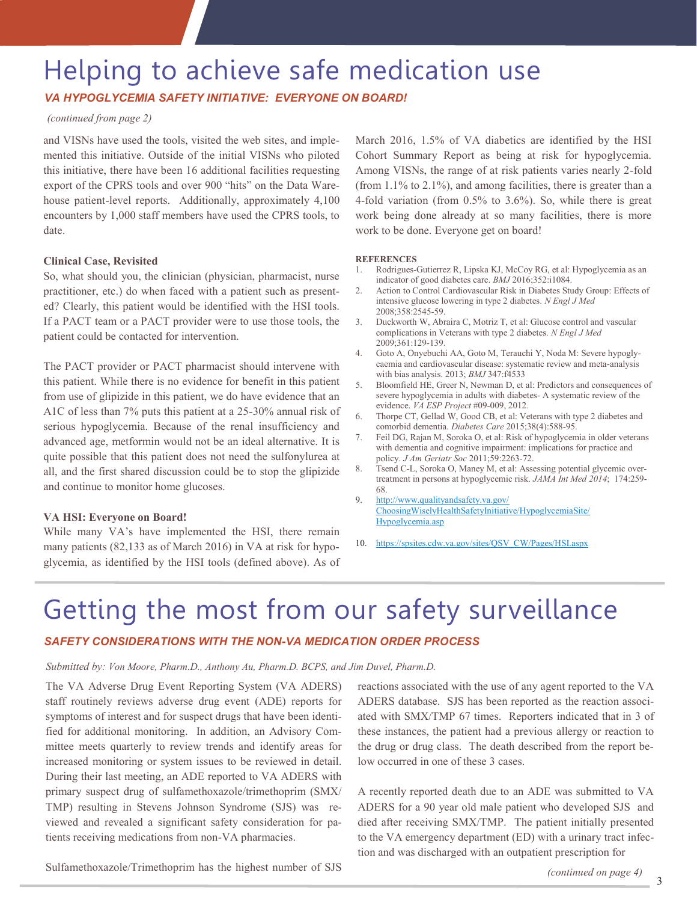## Helping to achieve safe medication use

#### *VA HYPOGLYCEMIA SAFETY INITIATIVE: EVERYONE ON BOARD!*

#### *(continued from page 2)*

and VISNs have used the tools, visited the web sites, and implemented this initiative. Outside of the initial VISNs who piloted this initiative, there have been 16 additional facilities requesting export of the CPRS tools and over 900 "hits" on the Data Warehouse patient-level reports. Additionally, approximately 4,100 encounters by 1,000 staff members have used the CPRS tools, to date.

#### **Clinical Case, Revisited**

So, what should you, the clinician (physician, pharmacist, nurse practitioner, etc.) do when faced with a patient such as presented? Clearly, this patient would be identified with the HSI tools. If a PACT team or a PACT provider were to use those tools, the patient could be contacted for intervention.

The PACT provider or PACT pharmacist should intervene with this patient. While there is no evidence for benefit in this patient from use of glipizide in this patient, we do have evidence that an A1C of less than 7% puts this patient at a 25-30% annual risk of serious hypoglycemia. Because of the renal insufficiency and advanced age, metformin would not be an ideal alternative. It is quite possible that this patient does not need the sulfonylurea at all, and the first shared discussion could be to stop the glipizide and continue to monitor home glucoses.

#### **VA HSI: Everyone on Board!**

While many VA's have implemented the HSI, there remain many patients (82,133 as of March 2016) in VA at risk for hypoglycemia, as identified by the HSI tools (defined above). As of

March 2016, 1.5% of VA diabetics are identified by the HSI Cohort Summary Report as being at risk for hypoglycemia. Among VISNs, the range of at risk patients varies nearly 2-fold (from 1.1% to 2.1%), and among facilities, there is greater than a 4-fold variation (from 0.5% to 3.6%). So, while there is great work being done already at so many facilities, there is more work to be done. Everyone get on board!

#### **REFERENCES**

- 1. Rodrigues-Gutierrez R, Lipska KJ, McCoy RG, et al: Hypoglycemia as an indicator of good diabetes care. *BMJ* 2016;352:i1084.
- 2. Action to Control Cardiovascular Risk in Diabetes Study Group: Effects of intensive glucose lowering in type 2 diabetes. *N Engl J Med* 2008;358:2545-59.
- 3. Duckworth W, Abraira C, Motriz T, et al: Glucose control and vascular complications in Veterans with type 2 diabetes. *N Engl J Med*  2009;361:129-139.
- 4. Goto A, Onyebuchi AA, Goto M, Terauchi Y, Noda M: Severe hypoglycaemia and cardiovascular disease: systematic review and meta-analysis with bias analysis. 2013; *BMJ* 347:f4533
- 5. Bloomfield HE, Greer N, Newman D, et al: Predictors and consequences of severe hypoglycemia in adults with diabetes- A systematic review of the evidence. *VA ESP Project* #09-009, 2012.
- 6. Thorpe CT, Gellad W, Good CB, et al: Veterans with type 2 diabetes and comorbid dementia. *Diabetes Care* 2015;38(4):588-95.
- 7. Feil DG, Rajan M, Soroka O, et al: Risk of hypoglycemia in older veterans with dementia and cognitive impairment: implications for practice and policy. *J Am Geriatr Soc* 2011;59:2263-72.
- 8. Tsend C-L, Soroka O, Maney M, et al: Assessing potential glycemic overtreatment in persons at hypoglycemic risk. *JAMA Int Med 2014*; 174:259- 68.
- 9. [http://www.qualityandsafety.va.gov/](http://www.qualityandsafety.va.gov/ChoosingWiselyHealthSafetyInitiative/HypoglycemiaSite/Hypoglycemia.asp) [ChoosingWiselyHealthSafetyInitiative/HypoglycemiaSite/](http://www.qualityandsafety.va.gov/ChoosingWiselyHealthSafetyInitiative/HypoglycemiaSite/Hypoglycemia.asp) [Hypoglycemia.asp](http://www.qualityandsafety.va.gov/ChoosingWiselyHealthSafetyInitiative/HypoglycemiaSite/Hypoglycemia.asp)
- 10. [https://spsites.cdw.va.gov/sites/QSV\\_CW/Pages/HSI.aspx](https://spsites.cdw.va.gov/sites/QSV_CW/Pages/HSI.aspx)

## Getting the most from our safety surveillance

#### *SAFETY CONSIDERATIONS WITH THE NON-VA MEDICATION ORDER PROCESS*

#### *Submitted by: Von Moore, Pharm.D., Anthony Au, Pharm.D. BCPS, and Jim Duvel, Pharm.D.*

The VA Adverse Drug Event Reporting System (VA ADERS) staff routinely reviews adverse drug event (ADE) reports for symptoms of interest and for suspect drugs that have been identified for additional monitoring. In addition, an Advisory Committee meets quarterly to review trends and identify areas for increased monitoring or system issues to be reviewed in detail. During their last meeting, an ADE reported to VA ADERS with primary suspect drug of sulfamethoxazole/trimethoprim (SMX/ TMP) resulting in Stevens Johnson Syndrome (SJS) was reviewed and revealed a significant safety consideration for patients receiving medications from non-VA pharmacies.

reactions associated with the use of any agent reported to the VA ADERS database. SJS has been reported as the reaction associated with SMX/TMP 67 times. Reporters indicated that in 3 of these instances, the patient had a previous allergy or reaction to the drug or drug class. The death described from the report below occurred in one of these 3 cases.

A recently reported death due to an ADE was submitted to VA ADERS for a 90 year old male patient who developed SJS and died after receiving SMX/TMP. The patient initially presented to the VA emergency department (ED) with a urinary tract infection and was discharged with an outpatient prescription for

Sulfamethoxazole/Trimethoprim has the highest number of SJS

3